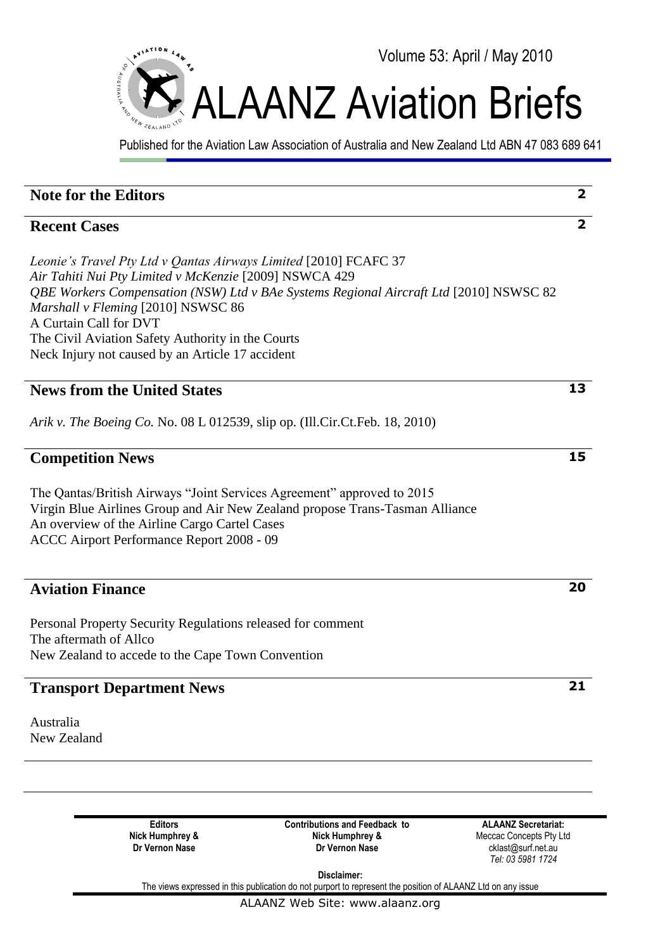

Published for the Aviation Law Association of Australia and New Zealand Ltd ABN 47 083 689 641

| <b>Note for the Editors</b>                                                                                                                                                                                                                                                                                                                                                                   | $\overline{2}$ |
|-----------------------------------------------------------------------------------------------------------------------------------------------------------------------------------------------------------------------------------------------------------------------------------------------------------------------------------------------------------------------------------------------|----------------|
| <b>Recent Cases</b>                                                                                                                                                                                                                                                                                                                                                                           | $\overline{2}$ |
| Leonie's Travel Pty Ltd v Qantas Airways Limited [2010] FCAFC 37<br>Air Tahiti Nui Pty Limited v McKenzie [2009] NSWCA 429<br>QBE Workers Compensation (NSW) Ltd v BAe Systems Regional Aircraft Ltd [2010] NSWSC 82<br>Marshall v Fleming [2010] NSWSC 86<br>A Curtain Call for DVT<br>The Civil Aviation Safety Authority in the Courts<br>Neck Injury not caused by an Article 17 accident |                |
| <b>News from the United States</b>                                                                                                                                                                                                                                                                                                                                                            | 13             |
| Arik v. The Boeing Co. No. 08 L 012539, slip op. (Ill.Cir.Ct.Feb. 18, 2010)                                                                                                                                                                                                                                                                                                                   |                |
| <b>Competition News</b>                                                                                                                                                                                                                                                                                                                                                                       | 15             |
| The Qantas/British Airways "Joint Services Agreement" approved to 2015<br>Virgin Blue Airlines Group and Air New Zealand propose Trans-Tasman Alliance<br>An overview of the Airline Cargo Cartel Cases<br>ACCC Airport Performance Report 2008 - 09                                                                                                                                          |                |
| <b>Aviation Finance</b>                                                                                                                                                                                                                                                                                                                                                                       | 20             |
| Personal Property Security Regulations released for comment<br>The aftermath of Allco<br>New Zealand to accede to the Cape Town Convention                                                                                                                                                                                                                                                    |                |
| <b>Transport Department News</b>                                                                                                                                                                                                                                                                                                                                                              | 21             |
| Australia<br>New Zealand                                                                                                                                                                                                                                                                                                                                                                      |                |
|                                                                                                                                                                                                                                                                                                                                                                                               |                |
| <b>Editors</b><br><b>ALAANZ Secretariat:</b><br><b>Contributions and Feedback to</b><br>Nick Humphrey &<br>Nick Humphrey &<br>Meccac Concepts Pty Ltd<br>Dr Vernon Nase<br>Dr Vernon Nase<br>cklast@surf.net.au<br>Tel: 03 5981 1724<br>Disclaimer:                                                                                                                                           |                |

The views expressed in this publication do not purport to represent the position of ALAANZ Ltd on any issue

ALAANZ Web Site: www.alaanz.org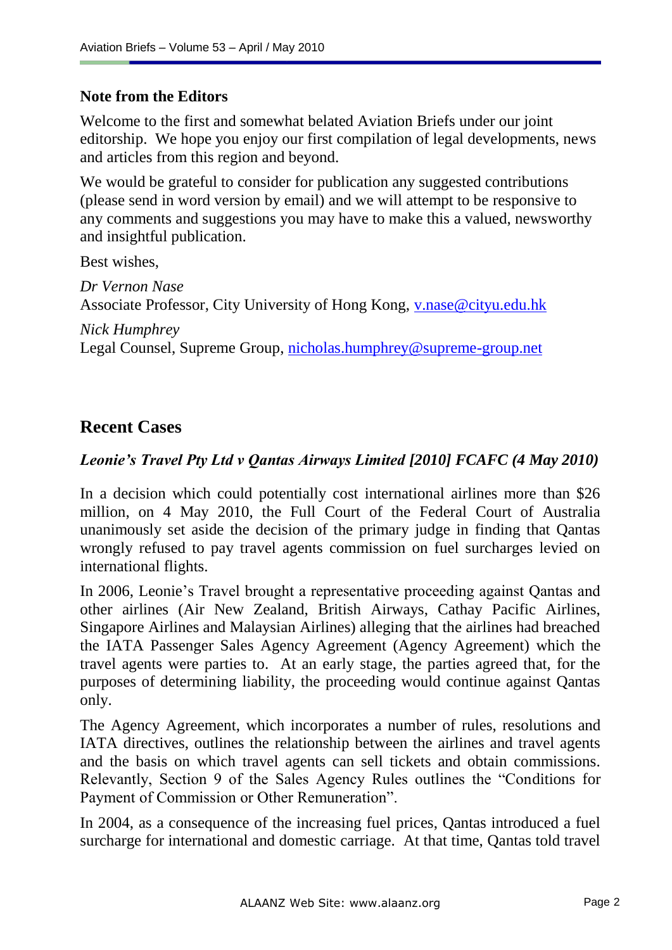#### **Note from the Editors**

Welcome to the first and somewhat belated Aviation Briefs under our joint editorship. We hope you enjoy our first compilation of legal developments, news and articles from this region and beyond.

We would be grateful to consider for publication any suggested contributions (please send in word version by email) and we will attempt to be responsive to any comments and suggestions you may have to make this a valued, newsworthy and insightful publication.

Best wishes,

*Dr Vernon Nase* Associate Professor, City University of Hong Kong, [v.nase@cityu.edu.hk](mailto:v.nase@cityu.edu.hk)

*Nick Humphrey* Legal Counsel, Supreme Group, [nicholas.humphrey@supreme-group.net](mailto:nicholas.humphrey@supreme-group.net)

# **Recent Cases**

### *Leonie's Travel Pty Ltd v Qantas Airways Limited [2010] FCAFC (4 May 2010)*

In a decision which could potentially cost international airlines more than \$26 million, on 4 May 2010, the Full Court of the Federal Court of Australia unanimously set aside the decision of the primary judge in finding that Qantas wrongly refused to pay travel agents commission on fuel surcharges levied on international flights.

In 2006, Leonie"s Travel brought a representative proceeding against Qantas and other airlines (Air New Zealand, British Airways, Cathay Pacific Airlines, Singapore Airlines and Malaysian Airlines) alleging that the airlines had breached the IATA Passenger Sales Agency Agreement (Agency Agreement) which the travel agents were parties to. At an early stage, the parties agreed that, for the purposes of determining liability, the proceeding would continue against Qantas only.

The Agency Agreement, which incorporates a number of rules, resolutions and IATA directives, outlines the relationship between the airlines and travel agents and the basis on which travel agents can sell tickets and obtain commissions. Relevantly, Section 9 of the Sales Agency Rules outlines the "Conditions for Payment of Commission or Other Remuneration".

In 2004, as a consequence of the increasing fuel prices, Qantas introduced a fuel surcharge for international and domestic carriage. At that time, Qantas told travel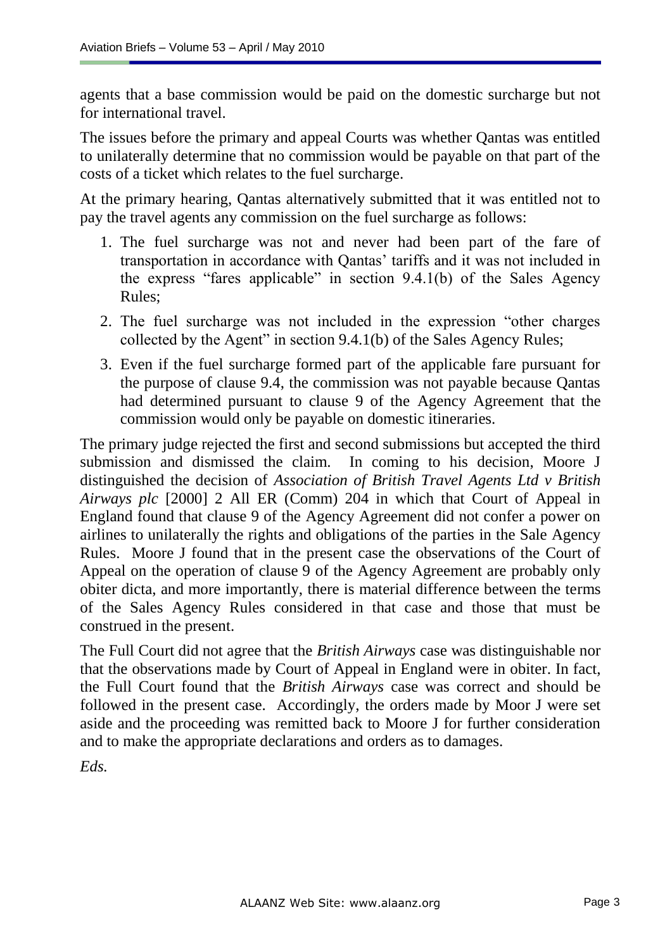agents that a base commission would be paid on the domestic surcharge but not for international travel.

The issues before the primary and appeal Courts was whether Qantas was entitled to unilaterally determine that no commission would be payable on that part of the costs of a ticket which relates to the fuel surcharge.

At the primary hearing, Qantas alternatively submitted that it was entitled not to pay the travel agents any commission on the fuel surcharge as follows:

- 1. The fuel surcharge was not and never had been part of the fare of transportation in accordance with Qantas' tariffs and it was not included in the express "fares applicable" in section 9.4.1(b) of the Sales Agency Rules;
- 2. The fuel surcharge was not included in the expression "other charges collected by the Agent" in section 9.4.1(b) of the Sales Agency Rules;
- 3. Even if the fuel surcharge formed part of the applicable fare pursuant for the purpose of clause 9.4, the commission was not payable because Qantas had determined pursuant to clause 9 of the Agency Agreement that the commission would only be payable on domestic itineraries.

The primary judge rejected the first and second submissions but accepted the third submission and dismissed the claim. In coming to his decision, Moore J distinguished the decision of *Association of British Travel Agents Ltd v British Airways plc* [2000] 2 All ER (Comm) 204 in which that Court of Appeal in England found that clause 9 of the Agency Agreement did not confer a power on airlines to unilaterally the rights and obligations of the parties in the Sale Agency Rules. Moore J found that in the present case the observations of the Court of Appeal on the operation of clause 9 of the Agency Agreement are probably only obiter dicta, and more importantly, there is material difference between the terms of the Sales Agency Rules considered in that case and those that must be construed in the present.

The Full Court did not agree that the *British Airways* case was distinguishable nor that the observations made by Court of Appeal in England were in obiter. In fact, the Full Court found that the *British Airways* case was correct and should be followed in the present case. Accordingly, the orders made by Moor J were set aside and the proceeding was remitted back to Moore J for further consideration and to make the appropriate declarations and orders as to damages.

*Eds.*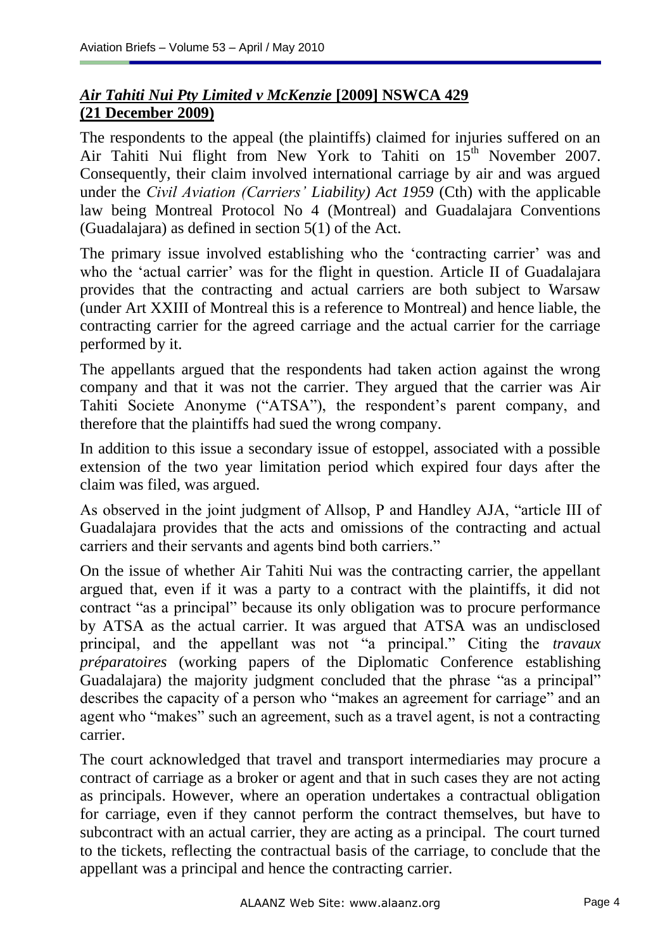# *Air Tahiti Nui Pty Limited v McKenzie* **[2009] NSWCA 429 (21 December 2009)**

The respondents to the appeal (the plaintiffs) claimed for injuries suffered on an Air Tahiti Nui flight from New York to Tahiti on 15<sup>th</sup> November 2007. Consequently, their claim involved international carriage by air and was argued under the *[Civil Aviation \(Carriers'](http://www.austlii.edu.au/au/legis/cth/consol_act/cala1959327/) [Liability\) Act 1959](http://www.austlii.edu.au/au/legis/cth/consol_act/cala1959327/)* (Cth) with the applicable law being Montreal Protocol No 4 (Montreal) and Guadalajara Conventions (Guadalajara) as defined in section 5(1) of the Act.

The primary issue involved establishing who the 'contracting carrier' was and who the 'actual carrier' was for the flight in question. Article II of Guadalajara provides that the contracting and actual carriers are both subject to Warsaw (under Art XXIII of Montreal this is a reference to Montreal) and hence liable, the contracting carrier for the agreed carriage and the actual carrier for the carriage performed by it.

The appellants argued that the respondents had taken action against the wrong company and that it was not the carrier. They argued that the carrier was Air Tahiti Societe Anonyme ("ATSA"), the respondent's parent company, and therefore that the plaintiffs had sued the wrong company.

In addition to this issue a secondary issue of estoppel, associated with a possible extension of the two year limitation period which expired four days after the claim was filed, was argued.

As observed in the joint judgment of Allsop, P and Handley AJA, "article III of Guadalajara provides that the acts and omissions of the contracting and actual carriers and their servants and agents bind both carriers."

On the issue of whether Air Tahiti Nui was the contracting carrier, the appellant argued that, even if it was a party to a contract with the plaintiffs, it did not contract "as a principal" because its only obligation was to procure performance by ATSA as the actual carrier. It was argued that ATSA was an undisclosed principal, and the appellant was not "a principal." Citing the *travaux préparatoires* (working papers of the Diplomatic Conference establishing Guadalajara) the majority judgment concluded that the phrase "as a principal" describes the capacity of a person who "makes an agreement for carriage" and an agent who "makes" such an agreement, such as a travel agent, is not a contracting carrier.

The court acknowledged that travel and transport intermediaries may procure a contract of carriage as a broker or agent and that in such cases they are not acting as principals. However, where an operation undertakes a contractual obligation for carriage, even if they cannot perform the contract themselves, but have to subcontract with an actual carrier, they are acting as a principal. The court turned to the tickets, reflecting the contractual basis of the carriage, to conclude that the appellant was a principal and hence the contracting carrier.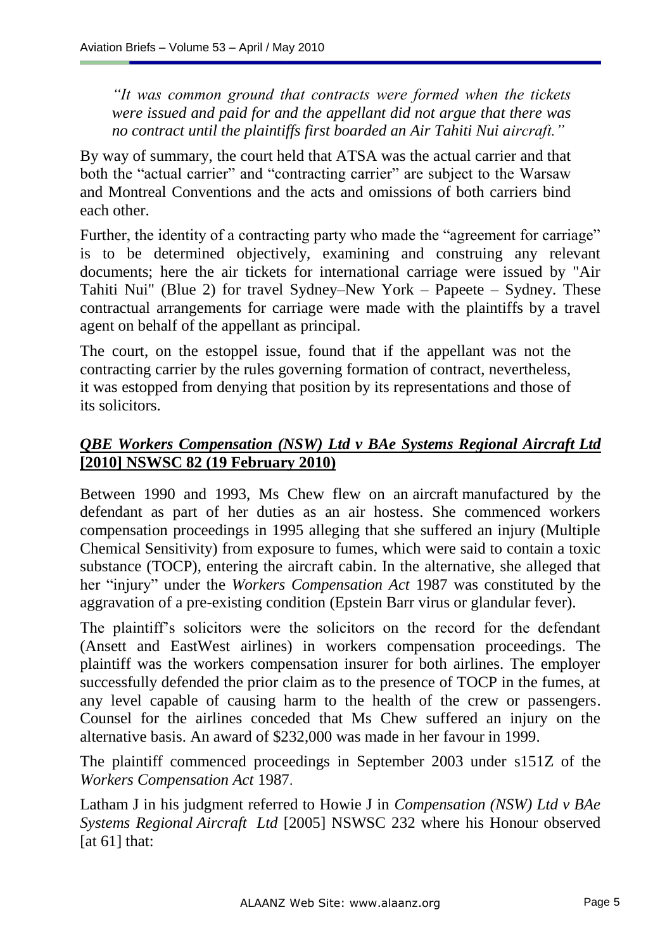*"It was common ground that contracts were formed when the tickets were issued and paid for and the appellant did not argue that there was no contract until the plaintiffs first boarded an Air Tahiti Nui aircraft."*

By way of summary, the court held that ATSA was the actual carrier and that both the "actual carrier" and "contracting carrier" are subject to the Warsaw and Montreal Conventions and the acts and omissions of both carriers bind each other.

Further, the identity of a contracting party who made the "agreement for carriage" is to be determined objectively, examining and construing any relevant documents; here the air tickets for international carriage were issued by "Air Tahiti Nui" (Blue 2) for travel Sydney–New York – Papeete – Sydney. These contractual arrangements for carriage were made with the plaintiffs by a travel agent on behalf of the appellant as principal.

The court, on the estoppel issue, found that if the appellant was not the contracting carrier by the rules governing formation of contract, nevertheless, it was estopped from denying that position by its representations and those of its solicitors.

# *QBE Workers Compensation (NSW) Ltd v BAe Systems Regional Aircraft Ltd* **[2010] NSWSC 82 (19 February 2010)**

Between 1990 and 1993, Ms Chew flew on an aircraft manufactured by the defendant as part of her duties as an air hostess. She commenced workers compensation proceedings in 1995 alleging that she suffered an injury (Multiple Chemical Sensitivity) from exposure to fumes, which were said to contain a toxic substance (TOCP), entering the aircraft cabin. In the alternative, she alleged that her "injury" under the *[Workers Compensation Act](http://www.austlii.edu.au/au/legis/nsw/consol_act/wca1987255/)* 1987 was constituted by the aggravation of a pre-existing condition (Epstein Barr virus or glandular fever).

The plaintiff"s solicitors were the solicitors on the record for the defendant (Ansett and EastWest airlines) in workers compensation proceedings. The plaintiff was the workers compensation insurer for both airlines. The employer successfully defended the prior claim as to the presence of TOCP in the fumes, at any level capable of causing harm to the health of the crew or passengers. Counsel for the airlines conceded that Ms Chew suffered an injury on the alternative basis. An award of \$232,000 was made in her favour in 1999.

The plaintiff commenced proceedings in September 2003 under [s151Z](http://www.austlii.edu.au/au/legis/nsw/consol_act/wca1987255/s151z.html) of the *[Workers Compensation Act](http://www.austlii.edu.au/au/legis/nsw/consol_act/wca1987255/)* 1987.

Latham J in his judgment referred to Howie J in *Compensation (NSW) Ltd v BAe Systems Regional Aircraft Ltd* [\[2005\] NSWSC 232](http://www.austlii.edu.au/au/cases/nsw/supreme_ct/2005/232.html) where his Honour observed [at 61] that: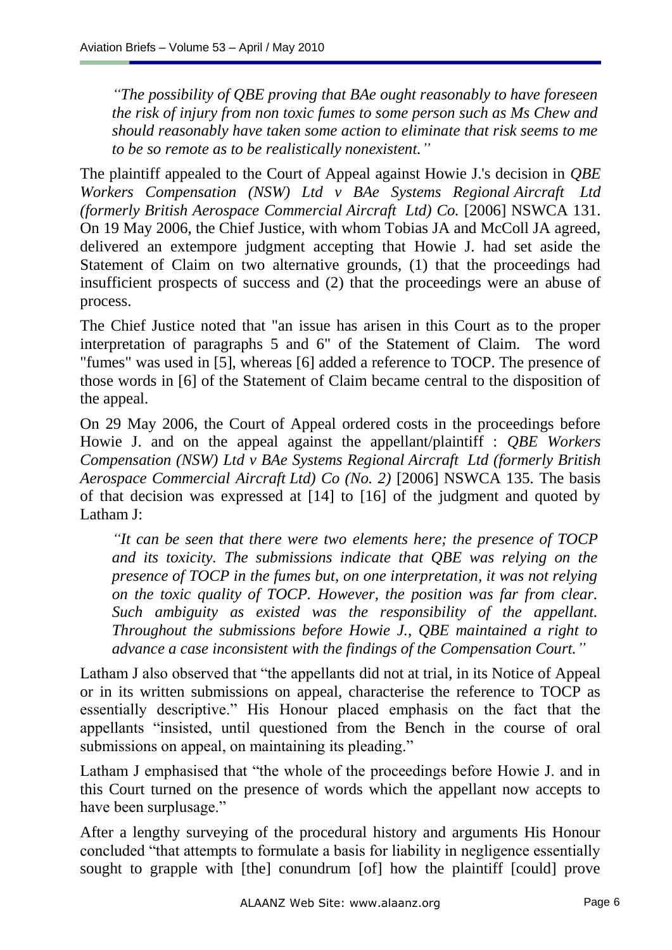*"The possibility of QBE proving that BAe ought reasonably to have foreseen the risk of injury from non toxic fumes to some person such as Ms Chew and should reasonably have taken some action to eliminate that risk seems to me to be so remote as to be realistically nonexistent."*

The plaintiff appealed to the Court of Appeal against Howie J.'s decision in *QBE Workers Compensation (NSW) Ltd v BAe Systems Regional Aircraft Ltd (formerly British Aerospace Commercial Aircraft Ltd) Co.* [\[2006\] NSWCA 131.](http://www.austlii.edu.au/au/cases/nsw/NSWCA/2006/131.html) On 19 May 2006, the Chief Justice, with whom Tobias JA and McColl JA agreed, delivered an extempore judgment accepting that Howie J. had set aside the Statement of Claim on two alternative grounds, (1) that the proceedings had insufficient prospects of success and (2) that the proceedings were an abuse of process.

The Chief Justice noted that "an issue has arisen in this Court as to the proper interpretation of paragraphs 5 and 6" of the Statement of Claim. The word "fumes" was used in [5], whereas [6] added a reference to TOCP. The presence of those words in [6] of the Statement of Claim became central to the disposition of the appeal.

On 29 May 2006, the Court of Appeal ordered costs in the proceedings before Howie J. and on the appeal against the appellant/plaintiff : *QBE Workers Compensation (NSW) Ltd v BAe Systems Regional Aircraft Ltd (formerly British Aerospace Commercial Aircraft Ltd) Co (No. 2)* [2006] NSWCA 135*.* The basis of that decision was expressed at [14] to [16] of the judgment and quoted by Latham J:

*"It can be seen that there were two elements here; the presence of TOCP and its toxicity. The submissions indicate that QBE was relying on the presence of TOCP in the fumes but, on one interpretation, it was not relying on the toxic quality of TOCP. However, the position was far from clear. Such ambiguity as existed was the responsibility of the appellant. Throughout the submissions before Howie J., QBE maintained a right to advance a case inconsistent with the findings of the Compensation Court."*

Latham J also observed that "the appellants did not at trial, in its Notice of Appeal or in its written submissions on appeal, characterise the reference to TOCP as essentially descriptive." His Honour placed emphasis on the fact that the appellants "insisted, until questioned from the Bench in the course of oral submissions on appeal, on maintaining its pleading."

Latham J emphasised that "the whole of the proceedings before Howie J. and in this Court turned on the presence of words which the appellant now accepts to have been surplusage."

After a lengthy surveying of the procedural history and arguments His Honour concluded "that attempts to formulate a basis for liability in negligence essentially sought to grapple with [the] conundrum [of] how the plaintiff [could] prove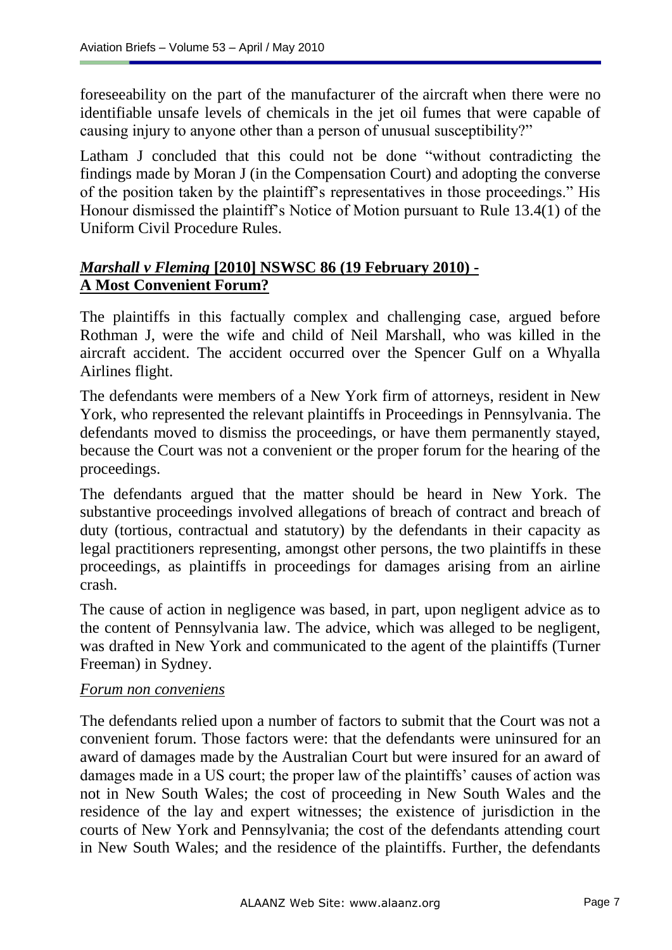foreseeability on the part of the manufacturer of the aircraft when there were no identifiable unsafe levels of chemicals in the jet oil fumes that were capable of causing injury to anyone other than a person of unusual susceptibility?"

Latham J concluded that this could not be done "without contradicting the findings made by Moran J (in the Compensation Court) and adopting the converse of the position taken by the plaintiff"s representatives in those proceedings." His Honour dismissed the plaintiff"s Notice of Motion pursuant to Rule 13.4(1) of the Uniform Civil Procedure Rules.

### *Marshall v Fleming* **[2010] NSWSC 86 (19 February 2010) - A Most Convenient Forum?**

The plaintiffs in this factually complex and challenging case, argued before Rothman J, were the wife and child of Neil Marshall, who was killed in the aircraft accident. The accident occurred over the Spencer Gulf on a Whyalla Airlines flight.

The defendants were members of a New York firm of attorneys, resident in New York, who represented the relevant plaintiffs in Proceedings in Pennsylvania. The defendants moved to dismiss the proceedings, or have them permanently stayed, because the Court was not a convenient or the proper forum for the hearing of the proceedings.

The defendants argued that the matter should be heard in New York. The substantive proceedings involved allegations of breach of contract and breach of duty (tortious, contractual and statutory) by the defendants in their capacity as legal practitioners representing, amongst other persons, the two plaintiffs in these proceedings, as plaintiffs in proceedings for damages arising from an airline crash.

The cause of action in negligence was based, in part, upon negligent advice as to the content of Pennsylvania law. The advice, which was alleged to be negligent, was drafted in New York and communicated to the agent of the plaintiffs (Turner Freeman) in Sydney.

#### *Forum non conveniens*

The defendants relied upon a number of factors to submit that the Court was not a convenient forum. Those factors were: that the defendants were uninsured for an award of damages made by the Australian Court but were insured for an award of damages made in a US court; the proper law of the plaintiffs' causes of action was not in New South Wales; the cost of proceeding in New South Wales and the residence of the lay and expert witnesses; the existence of jurisdiction in the courts of New York and Pennsylvania; the cost of the defendants attending court in New South Wales; and the residence of the plaintiffs. Further, the defendants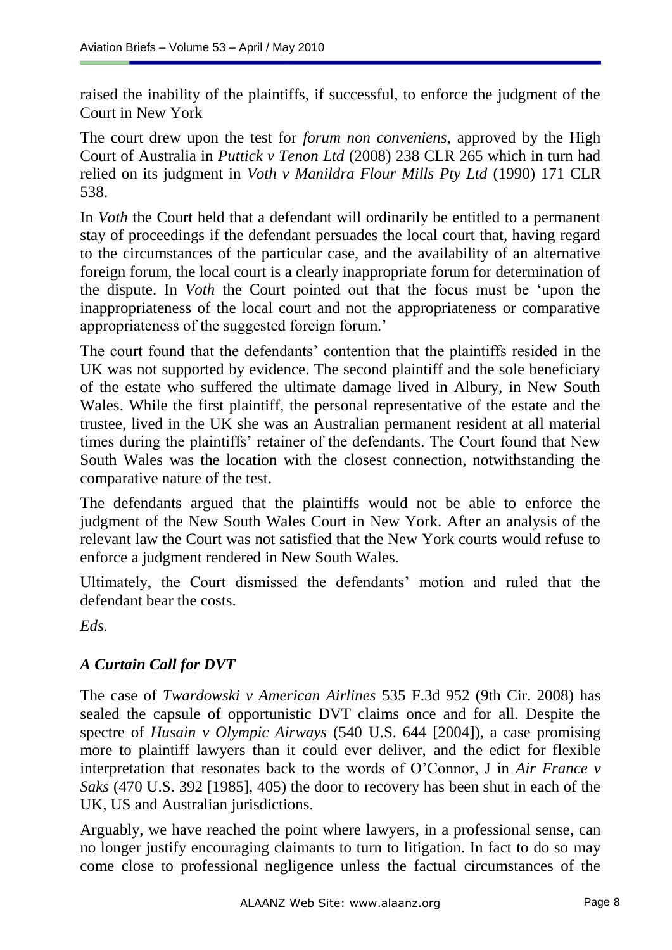raised the inability of the plaintiffs, if successful, to enforce the judgment of the Court in New York

The court drew upon the test for *forum non conveniens*, approved by the High Court of Australia in *Puttick v Tenon Ltd* (2008) 238 CLR 265 which in turn had relied on its judgment in *Voth v Manildra Flour Mills Pty Ltd* [\(1990\) 171 CLR](../../../../cgi-bin/LawCite)  [538.](../../../../cgi-bin/LawCite)

In *Voth* the Court held that a defendant will ordinarily be entitled to a permanent stay of proceedings if the defendant persuades the local court that, having regard to the circumstances of the particular case, and the availability of an alternative foreign forum, the local court is a clearly inappropriate forum for determination of the dispute. In *Voth* the Court pointed out that the focus must be "upon the inappropriateness of the local court and not the appropriateness or comparative appropriateness of the suggested foreign forum.'

The court found that the defendants' contention that the plaintiffs resided in the UK was not supported by evidence. The second plaintiff and the sole beneficiary of the estate who suffered the ultimate damage lived in Albury, in New South Wales. While the first plaintiff, the personal representative of the estate and the trustee, lived in the UK she was an Australian permanent resident at all material times during the plaintiffs" retainer of the defendants. The Court found that New South Wales was the location with the closest connection, notwithstanding the comparative nature of the test.

The defendants argued that the plaintiffs would not be able to enforce the judgment of the New South Wales Court in New York. After an analysis of the relevant law the Court was not satisfied that the New York courts would refuse to enforce a judgment rendered in New South Wales.

Ultimately, the Court dismissed the defendants" motion and ruled that the defendant bear the costs.

*Eds.*

# *A Curtain Call for DVT*

The case of *Twardowski v American Airlines* 535 F.3d 952 (9th Cir. 2008) has sealed the capsule of opportunistic DVT claims once and for all. Despite the spectre of *Husain v Olympic Airways* (540 U.S. 644 [2004]), a case promising more to plaintiff lawyers than it could ever deliver, and the edict for flexible interpretation that resonates back to the words of O"Connor, J in *Air France v Saks* (470 U.S. 392 [1985], 405) the door to recovery has been shut in each of the UK, US and Australian jurisdictions.

Arguably, we have reached the point where lawyers, in a professional sense, can no longer justify encouraging claimants to turn to litigation. In fact to do so may come close to professional negligence unless the factual circumstances of the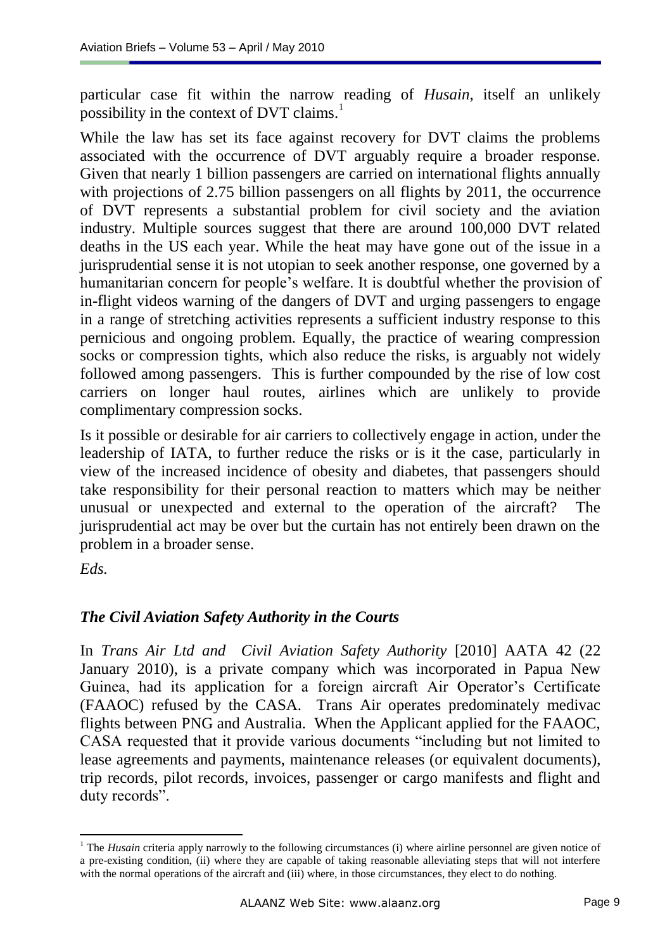particular case fit within the narrow reading of *Husain*, itself an unlikely possibility in the context of DVT claims.<sup>1</sup>

While the law has set its face against recovery for DVT claims the problems associated with the occurrence of DVT arguably require a broader response. Given that nearly 1 billion passengers are carried on international flights annually with projections of 2.75 billion passengers on all flights by 2011, the occurrence of DVT represents a substantial problem for civil society and the aviation industry. Multiple sources suggest that there are around 100,000 DVT related deaths in the US each year. While the heat may have gone out of the issue in a jurisprudential sense it is not utopian to seek another response, one governed by a humanitarian concern for people"s welfare. It is doubtful whether the provision of in-flight videos warning of the dangers of DVT and urging passengers to engage in a range of stretching activities represents a sufficient industry response to this pernicious and ongoing problem. Equally, the practice of wearing compression socks or compression tights, which also reduce the risks, is arguably not widely followed among passengers. This is further compounded by the rise of low cost carriers on longer haul routes, airlines which are unlikely to provide complimentary compression socks.

Is it possible or desirable for air carriers to collectively engage in action, under the leadership of IATA, to further reduce the risks or is it the case, particularly in view of the increased incidence of obesity and diabetes, that passengers should take responsibility for their personal reaction to matters which may be neither unusual or unexpected and external to the operation of the aircraft? The jurisprudential act may be over but the curtain has not entirely been drawn on the problem in a broader sense.

*Eds.*

# *The Civil Aviation Safety Authority in the Courts*

In *Trans Air Ltd and Civil Aviation Safety Authority* [2010] AATA 42 (22 January 2010), is a private company which was incorporated in Papua New Guinea, had its application for a foreign aircraft Air Operator's Certificate (FAAOC) refused by the CASA. Trans Air operates predominately medivac flights between PNG and Australia. When the Applicant applied for the FAAOC, CASA requested that it provide various documents "including but not limited to lease agreements and payments, maintenance releases (or equivalent documents), trip records, pilot records, invoices, passenger or cargo manifests and flight and duty records".

 $\overline{a}$ <sup>1</sup> The *Husain* criteria apply narrowly to the following circumstances (i) where airline personnel are given notice of a pre-existing condition, (ii) where they are capable of taking reasonable alleviating steps that will not interfere with the normal operations of the aircraft and (iii) where, in those circumstances, they elect to do nothing.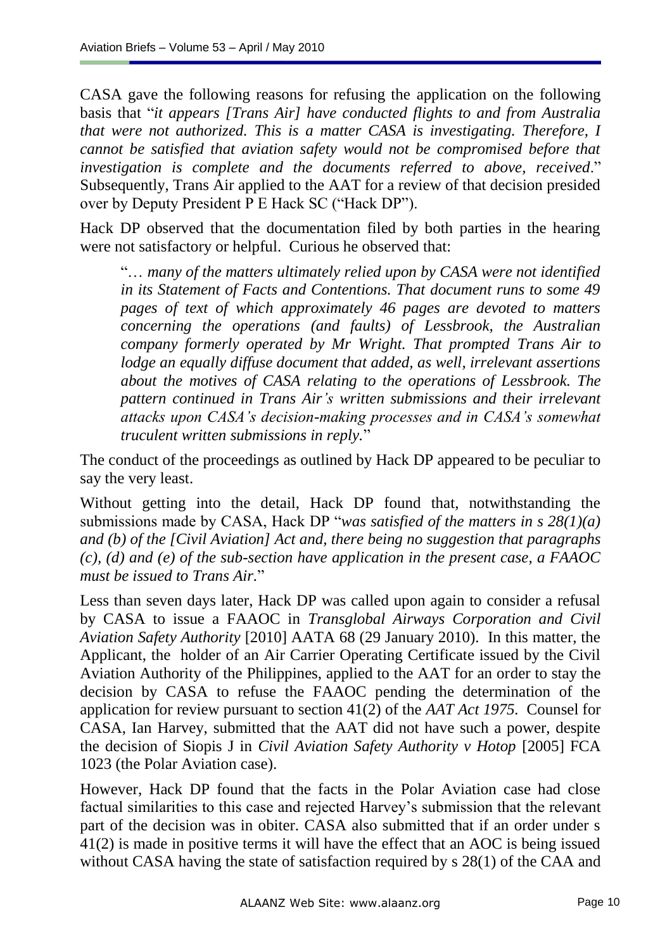CASA gave the following reasons for refusing the application on the following basis that "*it appears [Trans Air] have conducted flights to and from Australia that were not authorized. This is a matter CASA is investigating. Therefore, I cannot be satisfied that aviation safety would not be compromised before that investigation is complete and the documents referred to above, received*." Subsequently, Trans Air applied to the AAT for a review of that decision presided over by Deputy President P E Hack SC ("Hack DP").

Hack DP observed that the documentation filed by both parties in the hearing were not satisfactory or helpful. Curious he observed that:

"… *many of the matters ultimately relied upon by CASA were not identified in its Statement of Facts and Contentions. That document runs to some 49 pages of text of which approximately 46 pages are devoted to matters concerning the operations (and faults) of Lessbrook, the Australian company formerly operated by Mr Wright. That prompted Trans Air to lodge an equally diffuse document that added, as well, irrelevant assertions about the motives of CASA relating to the operations of Lessbrook. The pattern continued in Trans Air's written submissions and their irrelevant attacks upon CASA's decision-making processes and in CASA's somewhat truculent written submissions in reply.*"

The conduct of the proceedings as outlined by Hack DP appeared to be peculiar to say the very least.

Without getting into the detail, Hack DP found that, notwithstanding the submissions made by CASA, Hack DP "*was satisfied of the matters in s 28(1)(a) and (b) of the [Civil Aviation] Act and, there being no suggestion that paragraphs (c), (d) and (e) of the sub-section have application in the present case, a FAAOC must be issued to Trans Air.*"

Less than seven days later, Hack DP was called upon again to consider a refusal by CASA to issue a FAAOC in *Transglobal Airways Corporation and Civil Aviation Safety Authority* [2010] AATA 68 (29 January 2010). In this matter, the Applicant, the holder of an Air Carrier Operating Certificate issued by the Civil Aviation Authority of the Philippines, applied to the AAT for an order to stay the decision by CASA to refuse the FAAOC pending the determination of the application for review pursuant to section 41(2) of the *AAT Act 1975.* Counsel for CASA, Ian Harvey, submitted that the AAT did not have such a power, despite the decision of Siopis J in *Civil Aviation Safety Authority v Hotop* [2005] FCA 1023 (the Polar Aviation case).

However, Hack DP found that the facts in the Polar Aviation case had close factual similarities to this case and rejected Harvey"s submission that the relevant part of the decision was in obiter. CASA also submitted that if an order under s 41(2) is made in positive terms it will have the effect that an AOC is being issued without CASA having the state of satisfaction required by s 28(1) of the CAA and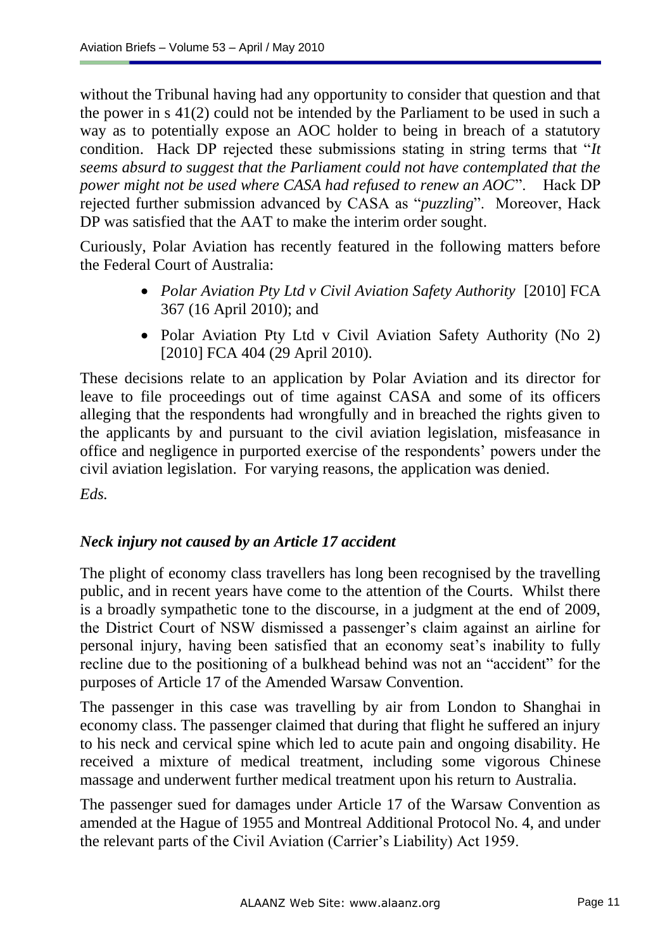without the Tribunal having had any opportunity to consider that question and that the power in s 41(2) could not be intended by the Parliament to be used in such a way as to potentially expose an AOC holder to being in breach of a statutory condition. Hack DP rejected these submissions stating in string terms that "*It seems absurd to suggest that the Parliament could not have contemplated that the power might not be used where CASA had refused to renew an AOC*". Hack DP rejected further submission advanced by CASA as "*puzzling*". Moreover, Hack DP was satisfied that the AAT to make the interim order sought.

Curiously, Polar Aviation has recently featured in the following matters before the Federal Court of Australia:

- *Polar Aviation Pty Ltd v Civil Aviation Safety Authority* [2010] FCA 367 (16 April 2010); and
- Polar Aviation Pty Ltd v Civil Aviation Safety Authority (No 2) [2010] FCA 404 (29 April 2010).

These decisions relate to an application by Polar Aviation and its director for leave to file proceedings out of time against CASA and some of its officers alleging that the respondents had wrongfully and in breached the rights given to the applicants by and pursuant to the civil aviation legislation, misfeasance in office and negligence in purported exercise of the respondents" powers under the civil aviation legislation. For varying reasons, the application was denied.

*Eds.*

#### *Neck injury not caused by an Article 17 accident*

The plight of economy class travellers has long been recognised by the travelling public, and in recent years have come to the attention of the Courts. Whilst there is a broadly sympathetic tone to the discourse, in a judgment at the end of 2009, the District Court of NSW dismissed a passenger's claim against an airline for personal injury, having been satisfied that an economy seat"s inability to fully recline due to the positioning of a bulkhead behind was not an "accident" for the purposes of Article 17 of the Amended Warsaw Convention.

The passenger in this case was travelling by air from London to Shanghai in economy class. The passenger claimed that during that flight he suffered an injury to his neck and cervical spine which led to acute pain and ongoing disability. He received a mixture of medical treatment, including some vigorous Chinese massage and underwent further medical treatment upon his return to Australia.

The passenger sued for damages under Article 17 of the Warsaw Convention as amended at the Hague of 1955 and Montreal Additional Protocol No. 4, and under the relevant parts of the Civil Aviation (Carrier"s Liability) Act 1959.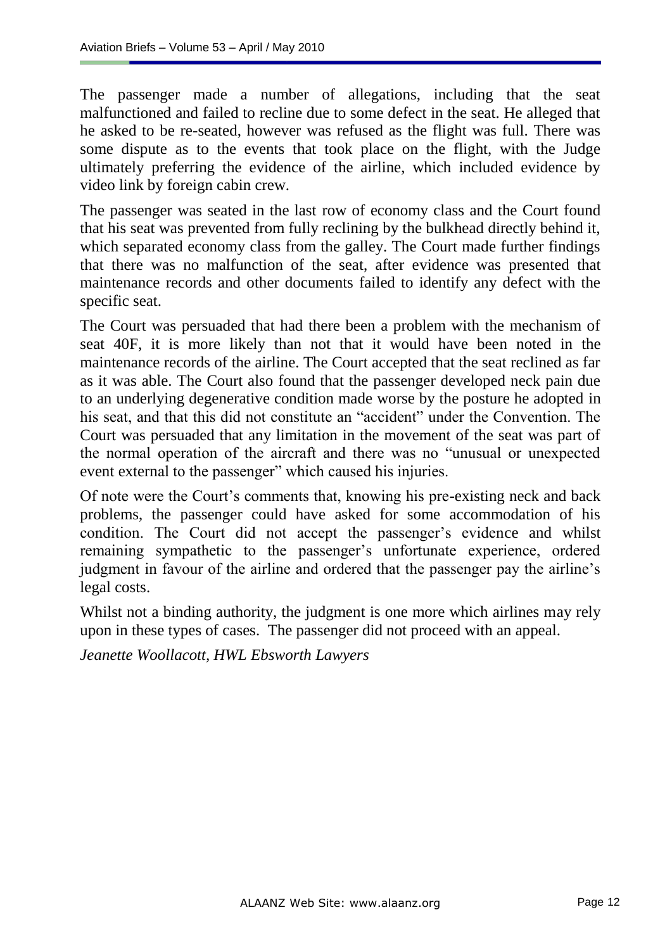The passenger made a number of allegations, including that the seat malfunctioned and failed to recline due to some defect in the seat. He alleged that he asked to be re-seated, however was refused as the flight was full. There was some dispute as to the events that took place on the flight, with the Judge ultimately preferring the evidence of the airline, which included evidence by video link by foreign cabin crew.

The passenger was seated in the last row of economy class and the Court found that his seat was prevented from fully reclining by the bulkhead directly behind it, which separated economy class from the galley. The Court made further findings that there was no malfunction of the seat, after evidence was presented that maintenance records and other documents failed to identify any defect with the specific seat.

The Court was persuaded that had there been a problem with the mechanism of seat 40F, it is more likely than not that it would have been noted in the maintenance records of the airline. The Court accepted that the seat reclined as far as it was able. The Court also found that the passenger developed neck pain due to an underlying degenerative condition made worse by the posture he adopted in his seat, and that this did not constitute an "accident" under the Convention. The Court was persuaded that any limitation in the movement of the seat was part of the normal operation of the aircraft and there was no "unusual or unexpected event external to the passenger" which caused his injuries.

Of note were the Court"s comments that, knowing his pre-existing neck and back problems, the passenger could have asked for some accommodation of his condition. The Court did not accept the passenger's evidence and whilst remaining sympathetic to the passenger's unfortunate experience, ordered judgment in favour of the airline and ordered that the passenger pay the airline"s legal costs.

Whilst not a binding authority, the judgment is one more which airlines may rely upon in these types of cases. The passenger did not proceed with an appeal.

*Jeanette Woollacott, HWL Ebsworth Lawyers*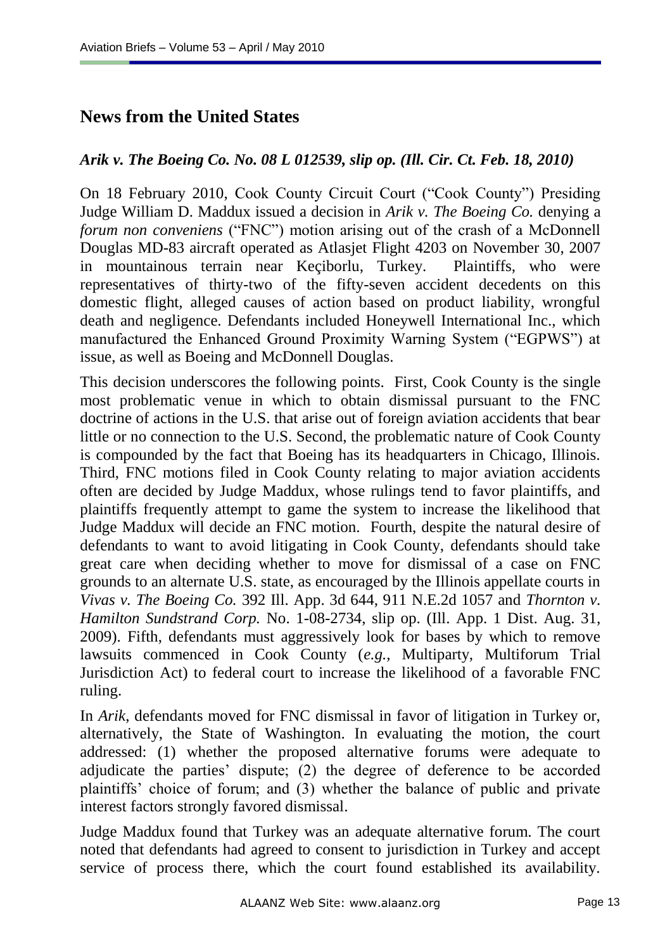# **News from the United States**

#### *Arik v. The Boeing Co. No. 08 L 012539, slip op. (Ill. Cir. Ct. Feb. 18, 2010)*

On 18 February 2010, Cook County Circuit Court ("Cook County") Presiding Judge William D. Maddux issued a decision in *Arik v. The Boeing Co.* denying a *forum non conveniens* ("FNC") motion arising out of the crash of a McDonnell Douglas MD-83 aircraft operated as Atlasjet Flight 4203 on November 30, 2007 in mountainous terrain near Keçiborlu, Turkey. Plaintiffs, who were representatives of thirty-two of the fifty-seven accident decedents on this domestic flight, alleged causes of action based on product liability, wrongful death and negligence. Defendants included Honeywell International Inc., which manufactured the Enhanced Ground Proximity Warning System ("EGPWS") at issue, as well as Boeing and McDonnell Douglas.

This decision underscores the following points. First, Cook County is the single most problematic venue in which to obtain dismissal pursuant to the FNC doctrine of actions in the U.S. that arise out of foreign aviation accidents that bear little or no connection to the U.S. Second, the problematic nature of Cook County is compounded by the fact that Boeing has its headquarters in Chicago, Illinois. Third, FNC motions filed in Cook County relating to major aviation accidents often are decided by Judge Maddux, whose rulings tend to favor plaintiffs, and plaintiffs frequently attempt to game the system to increase the likelihood that Judge Maddux will decide an FNC motion. Fourth, despite the natural desire of defendants to want to avoid litigating in Cook County, defendants should take great care when deciding whether to move for dismissal of a case on FNC grounds to an alternate U.S. state, as encouraged by the Illinois appellate courts in *Vivas v. The Boeing Co.* 392 Ill. App. 3d 644, 911 N.E.2d 1057 and *Thornton v. Hamilton Sundstrand Corp.* No. 1-08-2734, slip op. (Ill. App. 1 Dist. Aug. 31, 2009). Fifth, defendants must aggressively look for bases by which to remove lawsuits commenced in Cook County (*e.g.*, Multiparty, Multiforum Trial Jurisdiction Act) to federal court to increase the likelihood of a favorable FNC ruling.

In *Arik*, defendants moved for FNC dismissal in favor of litigation in Turkey or, alternatively, the State of Washington. In evaluating the motion, the court addressed: (1) whether the proposed alternative forums were adequate to adjudicate the parties' dispute; (2) the degree of deference to be accorded plaintiffs" choice of forum; and (3) whether the balance of public and private interest factors strongly favored dismissal.

Judge Maddux found that Turkey was an adequate alternative forum. The court noted that defendants had agreed to consent to jurisdiction in Turkey and accept service of process there, which the court found established its availability.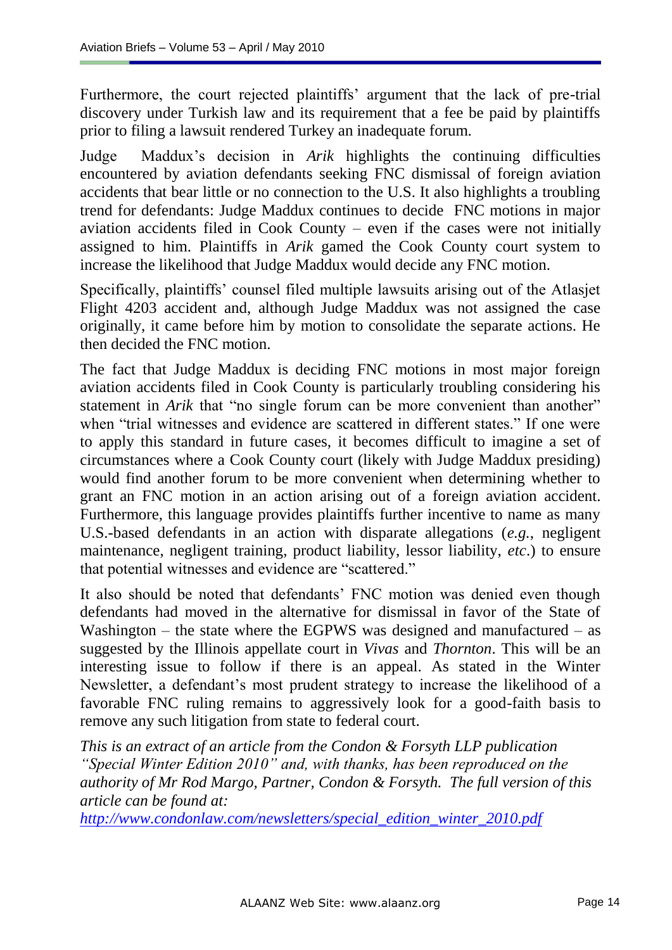Furthermore, the court rejected plaintiffs' argument that the lack of pre-trial discovery under Turkish law and its requirement that a fee be paid by plaintiffs prior to filing a lawsuit rendered Turkey an inadequate forum.

Judge Maddux"s decision in *Arik* highlights the continuing difficulties encountered by aviation defendants seeking FNC dismissal of foreign aviation accidents that bear little or no connection to the U.S. It also highlights a troubling trend for defendants: Judge Maddux continues to decide FNC motions in major aviation accidents filed in Cook County – even if the cases were not initially assigned to him. Plaintiffs in *Arik* gamed the Cook County court system to increase the likelihood that Judge Maddux would decide any FNC motion.

Specifically, plaintiffs" counsel filed multiple lawsuits arising out of the Atlasjet Flight 4203 accident and, although Judge Maddux was not assigned the case originally, it came before him by motion to consolidate the separate actions. He then decided the FNC motion.

The fact that Judge Maddux is deciding FNC motions in most major foreign aviation accidents filed in Cook County is particularly troubling considering his statement in *Arik* that "no single forum can be more convenient than another" when "trial witnesses and evidence are scattered in different states." If one were to apply this standard in future cases, it becomes difficult to imagine a set of circumstances where a Cook County court (likely with Judge Maddux presiding) would find another forum to be more convenient when determining whether to grant an FNC motion in an action arising out of a foreign aviation accident. Furthermore, this language provides plaintiffs further incentive to name as many U.S.-based defendants in an action with disparate allegations (*e.g.*, negligent maintenance, negligent training, product liability, lessor liability, *etc*.) to ensure that potential witnesses and evidence are "scattered."

It also should be noted that defendants' FNC motion was denied even though defendants had moved in the alternative for dismissal in favor of the State of Washington – the state where the EGPWS was designed and manufactured – as suggested by the Illinois appellate court in *Vivas* and *Thornton*. This will be an interesting issue to follow if there is an appeal. As stated in the Winter Newsletter, a defendant"s most prudent strategy to increase the likelihood of a favorable FNC ruling remains to aggressively look for a good-faith basis to remove any such litigation from state to federal court.

*This is an extract of an article from the Condon & Forsyth LLP publication "Special Winter Edition 2010" and, with thanks, has been reproduced on the authority of Mr Rod Margo, Partner, Condon & Forsyth. The full version of this article can be found at:* 

*[http://www.condonlaw.com/newsletters/special\\_edition\\_winter\\_2010.pdf](http://www.condonlaw.com/newsletters/special_edition_winter_2010.pdf)*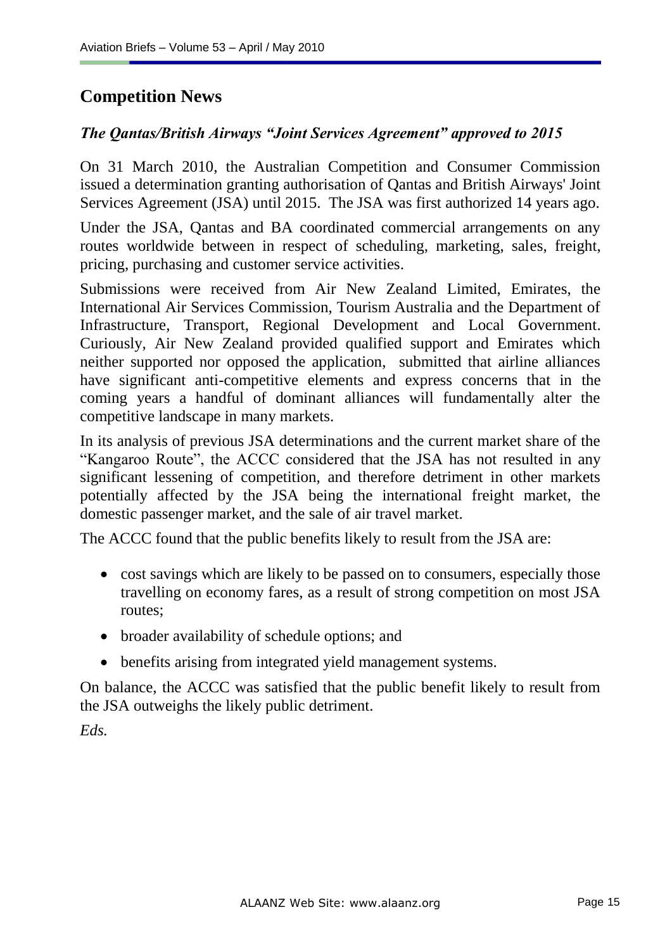# **Competition News**

### *The Qantas/British Airways "Joint Services Agreement" approved to 2015*

On 31 March 2010, the Australian Competition and Consumer Commission issued a determination granting authorisation of Qantas and British Airways' Joint Services Agreement (JSA) until 2015. The JSA was first authorized 14 years ago.

Under the JSA, Qantas and BA coordinated commercial arrangements on any routes worldwide between in respect of scheduling, marketing, sales, freight, pricing, purchasing and customer service activities.

Submissions were received from Air New Zealand Limited, Emirates, the International Air Services Commission, Tourism Australia and the Department of Infrastructure, Transport, Regional Development and Local Government. Curiously, Air New Zealand provided qualified support and Emirates which neither supported nor opposed the application, submitted that airline alliances have significant anti-competitive elements and express concerns that in the coming years a handful of dominant alliances will fundamentally alter the competitive landscape in many markets.

In its analysis of previous JSA determinations and the current market share of the "Kangaroo Route", the ACCC considered that the JSA has not resulted in any significant lessening of competition, and therefore detriment in other markets potentially affected by the JSA being the international freight market, the domestic passenger market, and the sale of air travel market.

The ACCC found that the public benefits likely to result from the JSA are:

- cost savings which are likely to be passed on to consumers, especially those travelling on economy fares, as a result of strong competition on most JSA routes;
- broader availability of schedule options; and
- benefits arising from integrated yield management systems.

On balance, the ACCC was satisfied that the public benefit likely to result from the JSA outweighs the likely public detriment.

*Eds.*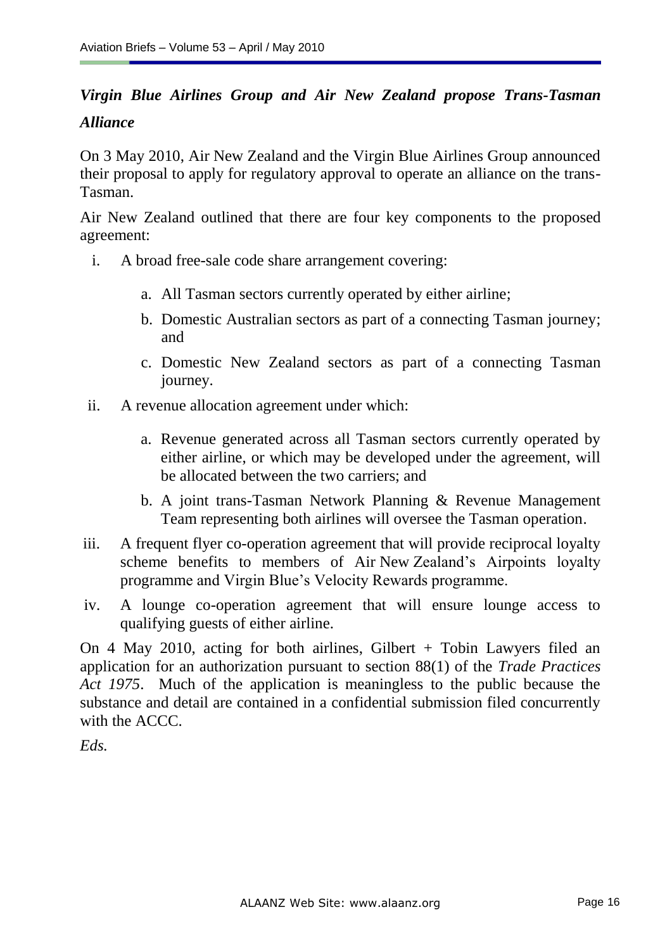# *Virgin Blue Airlines Group and Air New Zealand propose Trans-Tasman Alliance*

On 3 May 2010, Air New Zealand and the Virgin Blue Airlines Group announced their proposal to apply for regulatory approval to operate an alliance on the trans-Tasman.

Air New Zealand outlined that there are four key components to the proposed agreement:

- i. A broad free-sale code share arrangement covering:
	- a. All Tasman sectors currently operated by either airline;
	- b. Domestic Australian sectors as part of a connecting Tasman journey; and
	- c. Domestic New Zealand sectors as part of a connecting Tasman journey.
- ii. A revenue allocation agreement under which:
	- a. Revenue generated across all Tasman sectors currently operated by either airline, or which may be developed under the agreement, will be allocated between the two carriers; and
	- b. A joint trans-Tasman Network Planning & Revenue Management Team representing both airlines will oversee the Tasman operation.
- iii. A frequent flyer co-operation agreement that will provide reciprocal loyalty scheme benefits to members of Air New Zealand"s Airpoints loyalty programme and Virgin Blue"s Velocity Rewards programme.
- iv. A lounge co-operation agreement that will ensure lounge access to qualifying guests of either airline.

On 4 May 2010, acting for both airlines, Gilbert + Tobin Lawyers filed an application for an authorization pursuant to section 88(1) of the *Trade Practices Act 1975*. Much of the application is meaningless to the public because the substance and detail are contained in a confidential submission filed concurrently with the ACCC.

*Eds.*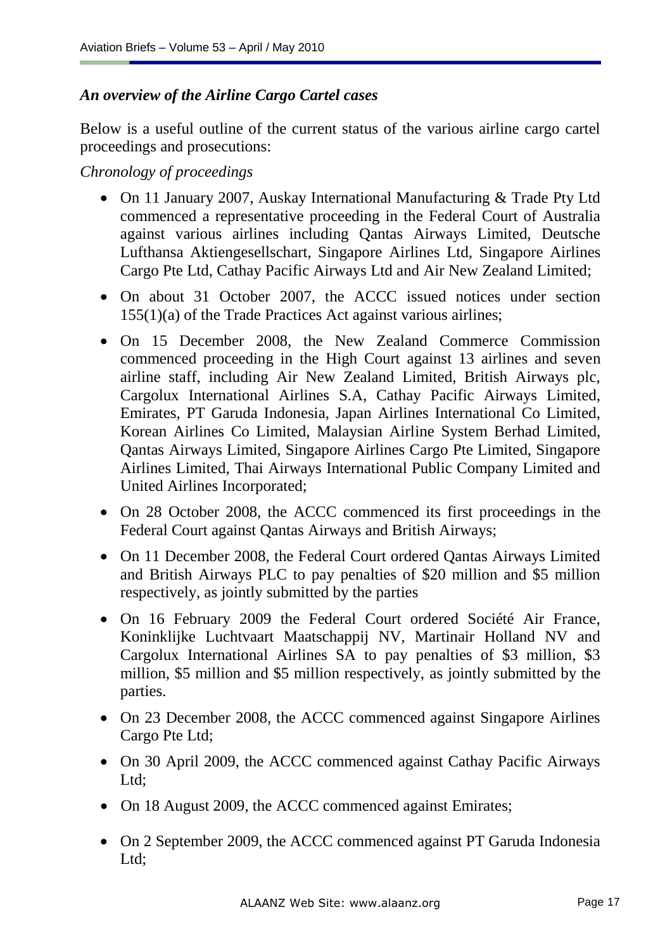### *An overview of the Airline Cargo Cartel cases*

Below is a useful outline of the current status of the various airline cargo cartel proceedings and prosecutions:

*Chronology of proceedings*

- On 11 January 2007, Auskay International Manufacturing & Trade Pty Ltd commenced a representative proceeding in the Federal Court of Australia against various airlines including Qantas Airways Limited, Deutsche Lufthansa Aktiengesellschart, Singapore Airlines Ltd, Singapore Airlines Cargo Pte Ltd, Cathay Pacific Airways Ltd and Air New Zealand Limited;
- On about 31 October 2007, the ACCC issued notices under section 155(1)(a) of the Trade Practices Act against various airlines;
- On 15 December 2008, the New Zealand Commerce Commission commenced proceeding in the High Court against 13 airlines and seven airline staff, including Air New Zealand Limited, British Airways plc, Cargolux International Airlines S.A, Cathay Pacific Airways Limited, Emirates, PT Garuda Indonesia, Japan Airlines International Co Limited, Korean Airlines Co Limited, Malaysian Airline System Berhad Limited, Qantas Airways Limited, Singapore Airlines Cargo Pte Limited, Singapore Airlines Limited, Thai Airways International Public Company Limited and United Airlines Incorporated;
- On 28 October 2008, the ACCC commenced its first proceedings in the Federal Court against Qantas Airways and British Airways;
- On 11 December 2008, the Federal Court ordered Qantas Airways Limited and British Airways PLC to pay penalties of \$20 million and \$5 million respectively, as jointly submitted by the parties
- On 16 February 2009 the Federal Court ordered Société Air France, Koninklijke Luchtvaart Maatschappij NV, Martinair Holland NV and Cargolux International Airlines SA to pay penalties of \$3 million, \$3 million, \$5 million and \$5 million respectively, as jointly submitted by the parties.
- On 23 December 2008, the ACCC commenced against Singapore Airlines Cargo Pte Ltd;
- On 30 April 2009, the ACCC commenced against Cathay Pacific Airways Ltd;
- On 18 August 2009, the ACCC commenced against Emirates;
- On 2 September 2009, the ACCC commenced against PT Garuda Indonesia Ltd;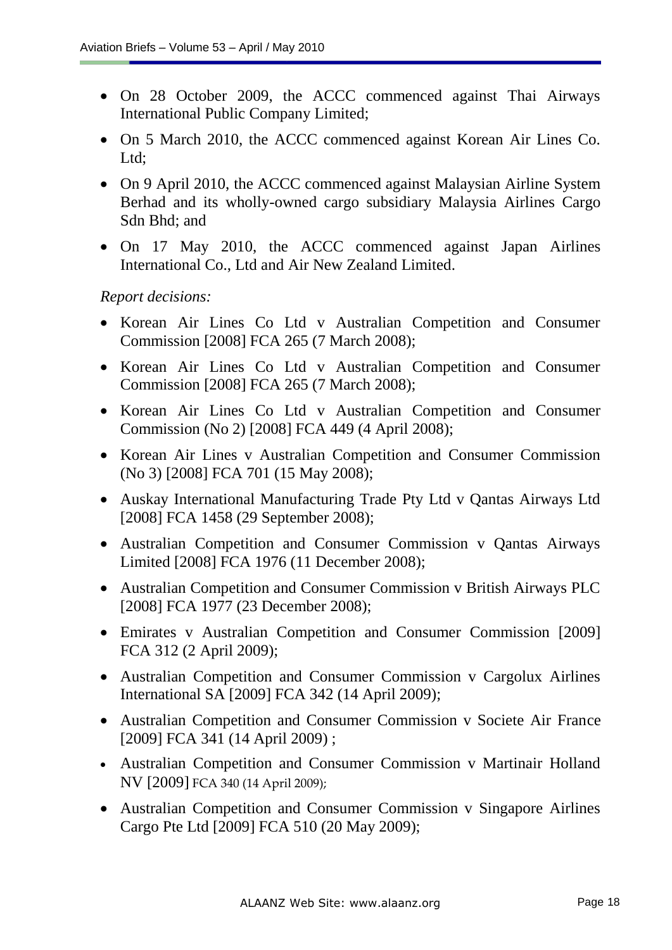- On 28 October 2009, the ACCC commenced against Thai Airways International Public Company Limited;
- On 5 March 2010, the ACCC commenced against Korean Air Lines Co. Ltd:
- On 9 April 2010, the ACCC commenced against Malaysian Airline System Berhad and its wholly-owned cargo subsidiary Malaysia Airlines Cargo Sdn Bhd; and
- On 17 May 2010, the ACCC commenced against Japan Airlines International Co., Ltd and Air New Zealand Limited.

*Report decisions:*

- Korean Air Lines Co Ltd v Australian Competition and Consumer Commission [2008] FCA 265 (7 March 2008);
- Korean Air Lines Co Ltd v Australian Competition and Consumer Commission [2008] FCA 265 (7 March 2008);
- Korean Air Lines Co Ltd v Australian Competition and Consumer Commission (No 2) [2008] FCA 449 (4 April 2008);
- Korean Air Lines v Australian Competition and Consumer Commission (No 3) [2008] FCA 701 (15 May 2008);
- Auskay International Manufacturing Trade Pty Ltd v Qantas Airways Ltd [2008] FCA 1458 (29 September 2008);
- Australian Competition and Consumer Commission v Qantas Airways Limited [2008] FCA 1976 (11 December 2008);
- Australian Competition and Consumer Commission v British Airways PLC [2008] FCA 1977 (23 December 2008);
- Emirates v Australian Competition and Consumer Commission [2009] FCA 312 (2 April 2009);
- Australian Competition and Consumer Commission v Cargolux Airlines International SA [2009] FCA 342 (14 April 2009);
- Australian Competition and Consumer Commission v Societe Air France [2009] FCA 341 (14 April 2009);
- Australian Competition and Consumer Commission v Martinair Holland NV [2009] FCA 340 (14 April 2009);
- Australian Competition and Consumer Commission v Singapore Airlines Cargo Pte Ltd [2009] FCA 510 (20 May 2009);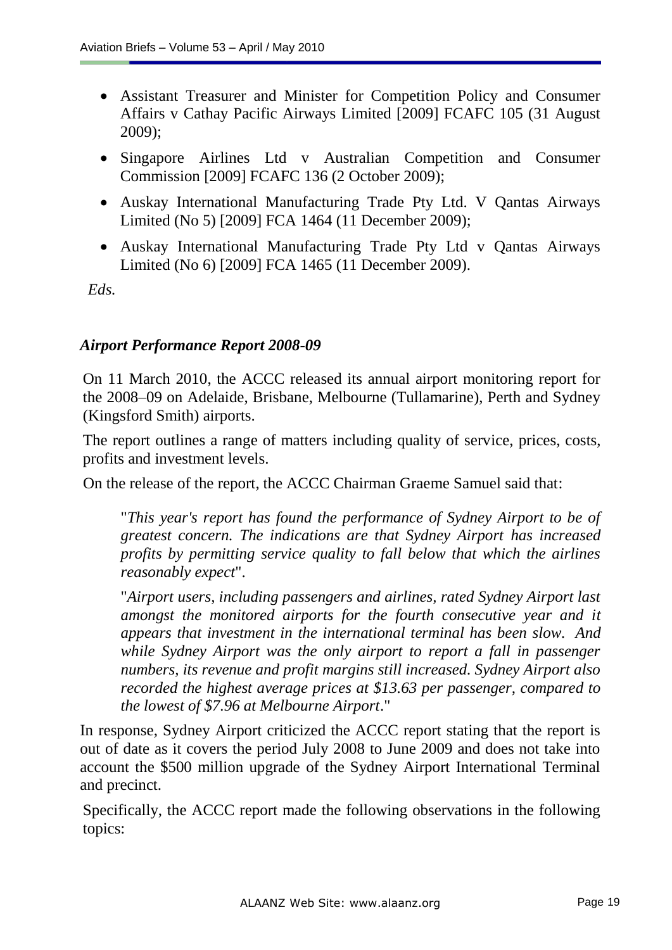- Assistant Treasurer and Minister for Competition Policy and Consumer Affairs v Cathay Pacific Airways Limited [2009] FCAFC 105 (31 August 2009);
- Singapore Airlines Ltd v Australian Competition and Consumer Commission [2009] FCAFC 136 (2 October 2009);
- Auskay International Manufacturing Trade Pty Ltd. V Qantas Airways Limited (No 5) [2009] FCA 1464 (11 December 2009);
- Auskay International Manufacturing Trade Pty Ltd v Qantas Airways Limited (No 6) [2009] FCA 1465 (11 December 2009).

*Eds.*

#### *Airport Performance Report 2008-09*

On 11 March 2010, the ACCC released its annual airport monitoring report for the 2008–09 on Adelaide, Brisbane, Melbourne (Tullamarine), Perth and Sydney (Kingsford Smith) airports.

The report outlines a range of matters including quality of service, prices, costs, profits and investment levels.

On the release of the report, the ACCC Chairman Graeme Samuel said that:

"*This year's report has found the performance of Sydney Airport to be of greatest concern. The indications are that Sydney Airport has increased profits by permitting service quality to fall below that which the airlines reasonably expect*".

"*Airport users, including passengers and airlines, rated Sydney Airport last amongst the monitored airports for the fourth consecutive year and it appears that investment in the international terminal has been slow. And while Sydney Airport was the only airport to report a fall in passenger numbers, its revenue and profit margins still increased. Sydney Airport also recorded the highest average prices at \$13.63 per passenger, compared to the lowest of \$7.96 at Melbourne Airport*."

In response, Sydney Airport criticized the ACCC report stating that the report is out of date as it covers the period July 2008 to June 2009 and does not take into account the \$500 million upgrade of the Sydney Airport International Terminal and precinct.

Specifically, the ACCC report made the following observations in the following topics: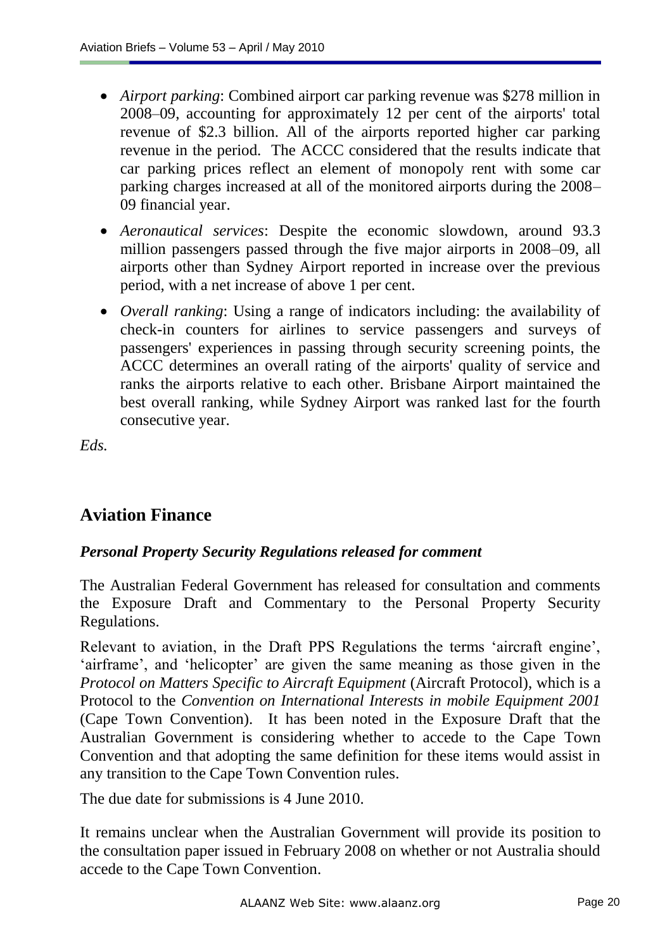- *Airport parking*: Combined airport car parking revenue was \$278 million in 2008–09, accounting for approximately 12 per cent of the airports' total revenue of \$2.3 billion. All of the airports reported higher car parking revenue in the period. The ACCC considered that the results indicate that car parking prices reflect an element of monopoly rent with some car parking charges increased at all of the monitored airports during the 2008– 09 financial year.
- *Aeronautical services*: Despite the economic slowdown, around 93.3 million passengers passed through the five major airports in 2008–09, all airports other than Sydney Airport reported in increase over the previous period, with a net increase of above 1 per cent.
- *Overall ranking*: Using a range of indicators including: the availability of check-in counters for airlines to service passengers and surveys of passengers' experiences in passing through security screening points, the ACCC determines an overall rating of the airports' quality of service and ranks the airports relative to each other. Brisbane Airport maintained the best overall ranking, while Sydney Airport was ranked last for the fourth consecutive year.

*Eds.*

# **Aviation Finance**

#### *Personal Property Security Regulations released for comment*

The Australian Federal Government has released for consultation and comments the Exposure Draft and Commentary to the Personal Property Security Regulations.

Relevant to aviation, in the Draft PPS Regulations the terms "aircraft engine", 'airframe', and 'helicopter' are given the same meaning as those given in the *Protocol on Matters Specific to Aircraft Equipment* (Aircraft Protocol), which is a Protocol to the *Convention on International Interests in mobile Equipment 2001*  (Cape Town Convention). It has been noted in the Exposure Draft that the Australian Government is considering whether to accede to the Cape Town Convention and that adopting the same definition for these items would assist in any transition to the Cape Town Convention rules.

The due date for submissions is 4 June 2010.

It remains unclear when the Australian Government will provide its position to the consultation paper issued in February 2008 on whether or not Australia should accede to the Cape Town Convention.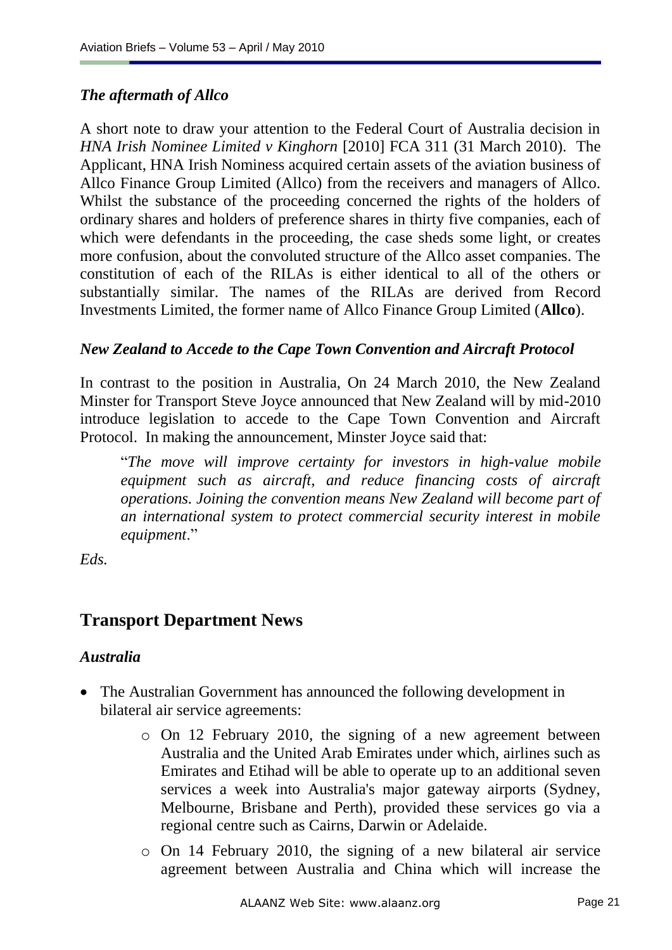### *The aftermath of Allco*

A short note to draw your attention to the Federal Court of Australia decision in *HNA Irish Nominee Limited v Kinghorn* [\[2010\] FCA 311](http://www.austlii.edu.au/au/cases/cth/FCA/2010/311.html) (31 March 2010). The Applicant, HNA Irish Nominess acquired certain assets of the aviation business of Allco Finance Group Limited (Allco) from the receivers and managers of Allco. Whilst the substance of the proceeding concerned the rights of the holders of ordinary shares and holders of preference shares in thirty five companies, each of which were defendants in the proceeding, the case sheds some light, or creates more confusion, about the convoluted structure of the Allco asset companies. The constitution of each of the RILAs is either identical to all of the others or substantially similar. The names of the RILAs are derived from Record Investments Limited, the former name of Allco Finance Group Limited (**Allco**).

#### *New Zealand to Accede to the Cape Town Convention and Aircraft Protocol*

In contrast to the position in Australia, On 24 March 2010, the New Zealand Minster for Transport Steve Joyce announced that New Zealand will by mid-2010 introduce legislation to accede to the Cape Town Convention and Aircraft Protocol. In making the announcement, Minster Joyce said that:

"*The move will improve certainty for investors in high-value mobile equipment such as aircraft, and reduce financing costs of aircraft operations. Joining the convention means New Zealand will become part of an international system to protect commercial security interest in mobile equipment*."

*Eds.*

# **Transport Department News**

#### *Australia*

- The Australian Government has announced the following development in bilateral air service agreements:
	- o On 12 February 2010, the signing of a new agreement between Australia and the United Arab Emirates under which, airlines such as Emirates and Etihad will be able to operate up to an additional seven services a week into Australia's major gateway airports (Sydney, Melbourne, Brisbane and Perth), provided these services go via a regional centre such as Cairns, Darwin or Adelaide.
	- o On 14 February 2010, the signing of a new bilateral air service agreement between Australia and China which will increase the